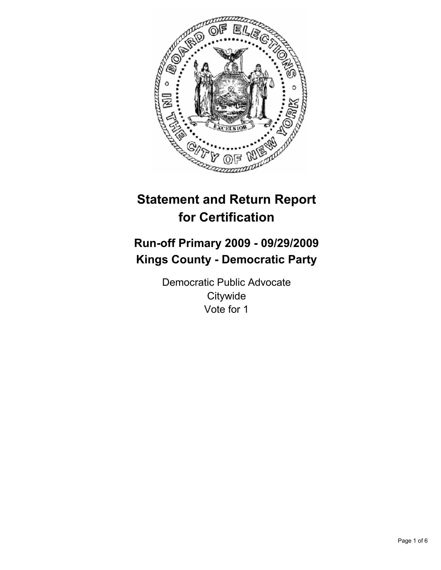

# **Statement and Return Report for Certification**

# **Run-off Primary 2009 - 09/29/2009 Kings County - Democratic Party**

Democratic Public Advocate **Citywide** Vote for 1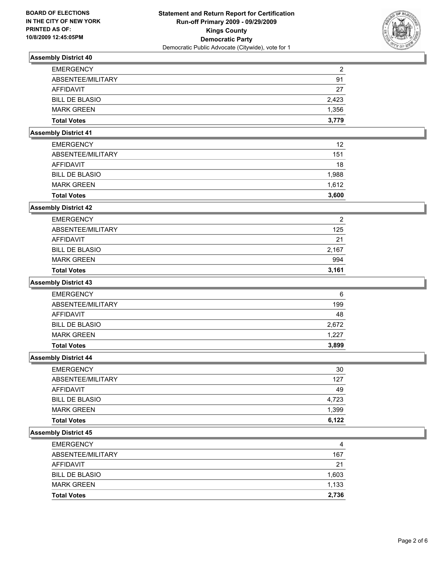

| <b>EMERGENCY</b>      | 2     |
|-----------------------|-------|
| ABSENTEE/MILITARY     | 91    |
| AFFIDAVIT             | 27    |
| <b>BILL DE BLASIO</b> | 2.423 |
| <b>MARK GREEN</b>     | 1,356 |
| <b>Total Votes</b>    | 3.779 |

## **Assembly District 41**

| <b>Total Votes</b>    | 3.600 |
|-----------------------|-------|
| <b>MARK GREEN</b>     | 1.612 |
| <b>BILL DE BLASIO</b> | 1,988 |
| AFFIDAVIT             | 18    |
| ABSENTEE/MILITARY     | 151   |
| <b>EMERGENCY</b>      | 12    |

## **Assembly District 42**

| <b>Total Votes</b>    | 3.161 |
|-----------------------|-------|
| <b>MARK GREEN</b>     | 994   |
| <b>BILL DE BLASIO</b> | 2,167 |
| AFFIDAVIT             | 21    |
| ABSENTEE/MILITARY     | 125   |
| <b>EMERGENCY</b>      | 2     |

#### **Assembly District 43**

| <b>Total Votes</b>    | 3.899 |
|-----------------------|-------|
| <b>MARK GREEN</b>     | 1,227 |
| <b>BILL DE BLASIO</b> | 2,672 |
| AFFIDAVIT             | 48    |
| ABSENTEE/MILITARY     | 199   |
| <b>EMERGENCY</b>      | 6     |

#### **Assembly District 44**

| <b>EMERGENCY</b>      | 30    |
|-----------------------|-------|
| ABSENTEE/MILITARY     | 127   |
| <b>AFFIDAVIT</b>      | 49    |
| <b>BILL DE BLASIO</b> | 4,723 |
| <b>MARK GREEN</b>     | 1,399 |
| <b>Total Votes</b>    | 6.122 |

| <b>EMERGENCY</b>      | 4     |
|-----------------------|-------|
| ABSENTEE/MILITARY     | 167   |
| AFFIDAVIT             | 21    |
| <b>BILL DE BLASIO</b> | 1,603 |
| <b>MARK GREEN</b>     | 1,133 |
| <b>Total Votes</b>    | 2.736 |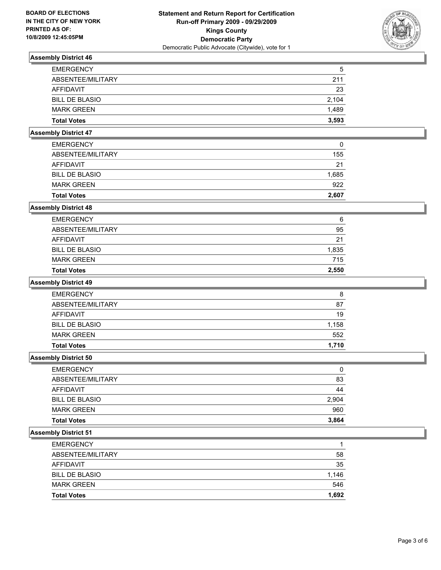

| <b>EMERGENCY</b>      | 5     |
|-----------------------|-------|
| ABSENTEE/MILITARY     | 211   |
| AFFIDAVIT             | 23    |
| <b>BILL DE BLASIO</b> | 2.104 |
| <b>MARK GREEN</b>     | 1.489 |
| <b>Total Votes</b>    | 3,593 |

## **Assembly District 47**

| <b>Total Votes</b>    | 2.607 |
|-----------------------|-------|
| <b>MARK GREEN</b>     | 922   |
| <b>BILL DE BLASIO</b> | 1,685 |
| AFFIDAVIT             | 21    |
| ABSENTEE/MILITARY     | 155   |
| <b>EMERGENCY</b>      | 0     |

### **Assembly District 48**

| <b>Total Votes</b>    | 2,550 |
|-----------------------|-------|
| <b>MARK GREEN</b>     | 715   |
| <b>BILL DE BLASIO</b> | 1,835 |
| AFFIDAVIT             | 21    |
| ABSENTEE/MILITARY     | 95    |
| <b>EMERGENCY</b>      | 6     |

#### **Assembly District 49**

| <b>Total Votes</b>    | 1.710 |
|-----------------------|-------|
| <b>MARK GREEN</b>     | 552   |
| <b>BILL DE BLASIO</b> | 1,158 |
| AFFIDAVIT             | 19    |
| ABSENTEE/MILITARY     | 87    |
| <b>EMERGENCY</b>      | 8     |

#### **Assembly District 50**

| <b>EMERGENCY</b>      | 0     |
|-----------------------|-------|
| ABSENTEE/MILITARY     | 83    |
| <b>AFFIDAVIT</b>      | 44    |
| <b>BILL DE BLASIO</b> | 2,904 |
| <b>MARK GREEN</b>     | 960   |
| <b>Total Votes</b>    | 3,864 |

| <b>Total Votes</b>    | 1.692 |
|-----------------------|-------|
| <b>MARK GREEN</b>     | 546   |
| <b>BILL DE BLASIO</b> | 1.146 |
| AFFIDAVIT             | 35    |
| ABSENTEE/MILITARY     | 58    |
| <b>EMERGENCY</b>      |       |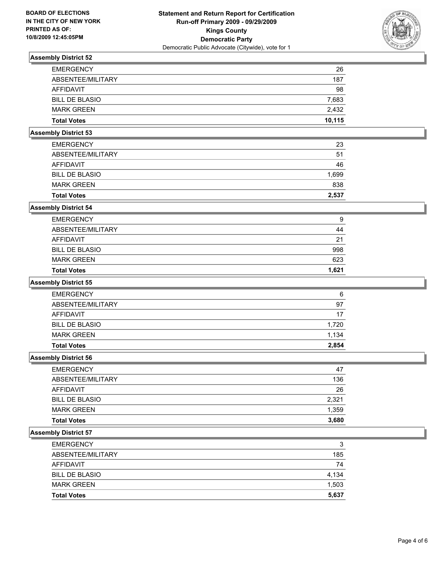

| <b>EMERGENCY</b>      | 26     |
|-----------------------|--------|
| ABSENTEE/MILITARY     | 187    |
| AFFIDAVIT             | 98     |
| <b>BILL DE BLASIO</b> | 7,683  |
| <b>MARK GREEN</b>     | 2.432  |
| <b>Total Votes</b>    | 10.115 |

## **Assembly District 53**

| <b>Total Votes</b>    | 2.537 |
|-----------------------|-------|
| <b>MARK GREEN</b>     | 838   |
| <b>BILL DE BLASIO</b> | 1,699 |
| AFFIDAVIT             | 46    |
| ABSENTEE/MILITARY     | 51    |
| <b>EMERGENCY</b>      | 23    |

#### **Assembly District 54**

| <b>Total Votes</b>    | 1.621 |
|-----------------------|-------|
| <b>MARK GREEN</b>     | 623   |
| <b>BILL DE BLASIO</b> | 998   |
| AFFIDAVIT             | 21    |
| ABSENTEE/MILITARY     | 44    |
| <b>EMERGENCY</b>      | 9     |

#### **Assembly District 55**

| <b>EMERGENCY</b>      | 6     |
|-----------------------|-------|
| ABSENTEE/MILITARY     | 97    |
| AFFIDAVIT             | -17   |
| <b>BILL DE BLASIO</b> | 1,720 |
| <b>MARK GREEN</b>     | 1.134 |
| <b>Total Votes</b>    | 2.854 |

#### **Assembly District 56**

| <b>EMERGENCY</b>      | 47    |
|-----------------------|-------|
| ABSENTEE/MILITARY     | 136   |
| <b>AFFIDAVIT</b>      | 26    |
| <b>BILL DE BLASIO</b> | 2.321 |
| <b>MARK GREEN</b>     | 1,359 |
| <b>Total Votes</b>    | 3,680 |

| <b>EMERGENCY</b>      | 3     |
|-----------------------|-------|
| ABSENTEE/MILITARY     | 185   |
| AFFIDAVIT             | 74    |
| <b>BILL DE BLASIO</b> | 4,134 |
| <b>MARK GREEN</b>     | 1,503 |
| <b>Total Votes</b>    | 5,637 |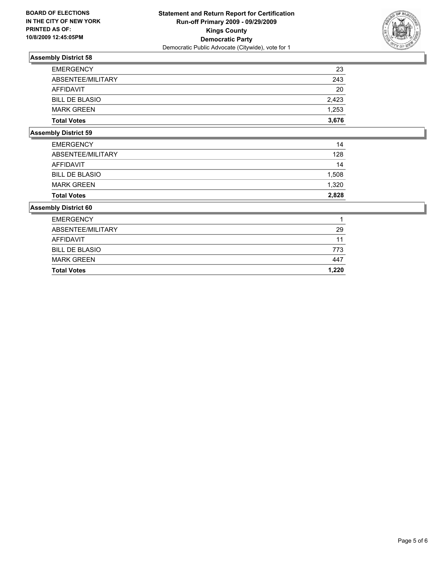

| <b>Total Votes</b>    | 3.676 |
|-----------------------|-------|
| <b>MARK GREEN</b>     | 1,253 |
| <b>BILL DE BLASIO</b> | 2.423 |
| AFFIDAVIT             | 20    |
| ABSENTEE/MILITARY     | 243   |
| <b>EMERGENCY</b>      | 23    |

## **Assembly District 59**

| <b>Total Votes</b>    | 2.828 |
|-----------------------|-------|
| <b>MARK GREEN</b>     | 1.320 |
| <b>BILL DE BLASIO</b> | 1,508 |
| AFFIDAVIT             | 14    |
| ABSENTEE/MILITARY     | 128   |
| <b>EMERGENCY</b>      | 14    |

| <b>EMERGENCY</b>      |       |
|-----------------------|-------|
| ABSENTEE/MILITARY     | 29    |
| AFFIDAVIT             | 11    |
| <b>BILL DE BLASIO</b> | 773   |
| <b>MARK GREEN</b>     | 447   |
| <b>Total Votes</b>    | 1.220 |